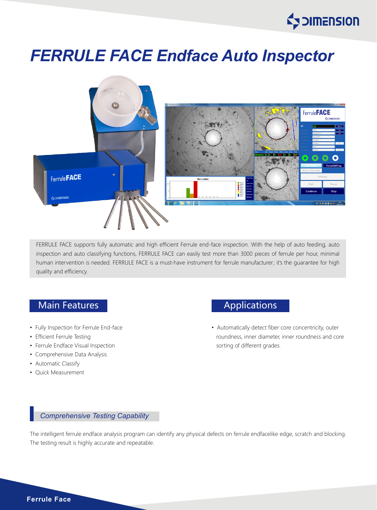

# *FERRULE FACE Endface Auto Inspector*



FERRULE FACE supports fully automatic and high efficient Ferrule end-face inspection. With the help of auto feeding, auto inspection and auto classifying functions, FERRULE FACE can easily test more than 3000 pieces of ferrule per hour, minimal human intervention is needed. FERRULE FACE is a must-have instrument for ferrule manufacturer; it's the quarantee for high quality and efficiency.

# Main Features **Applications**

- Fully Inspection for Ferrule End-face
- Efficient Ferrule Testing
- Ferrule Endface Visual Inspection
- Comprehensive Data Analysis
- Automatic Classify
- Quick Measurement

• Automatically detect fiber core concentricity, outer roundness, inner diameter, inner roundness and core sorting of different grades.

#### *Comprehensive Testing Capability*

The intelligent ferrule endface analysis program can identify any physical defects on ferrule endfacelike edge, scratch and blocking. The testing result is highly accurate and repeatable.